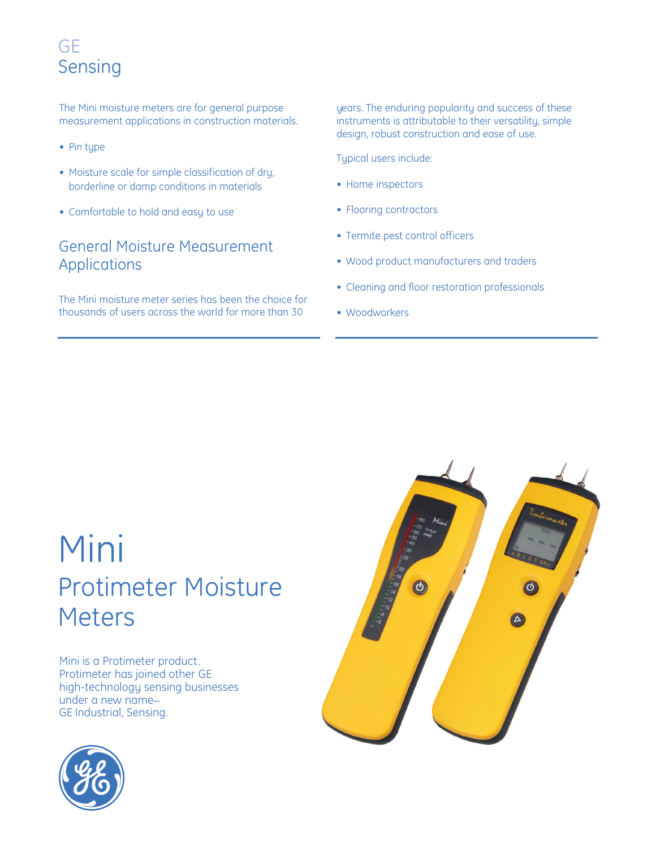# **GE** Sensing

The Mini moisture meters are for general purpose measurement applications in construction materials.

- Pin type
- Moisture scale for simple classification of dry, borderline or damp conditions in materials
- Comfortable to hold and easy to use

#### General Moisture Measurement Applications

The Mini moisture meter series has been the choice for thousands of users across the world for more than 30

years. The enduring popularity and success of these instruments is attributable to their versatility, simple design, robust construction and ease of use.

Typical users include:

- Home inspectors
- Flooring contractors
- Termite pest control officers
- Wood product manufacturers and traders
- Cleaning and floor restoration professionals
- Woodworkers

# Mini Protimeter Moisture Meters

Mini is a Protimeter product. Protimeter has joined other GE high-technology sensing businesses under a new name\_ GE Industrial, Sensing.



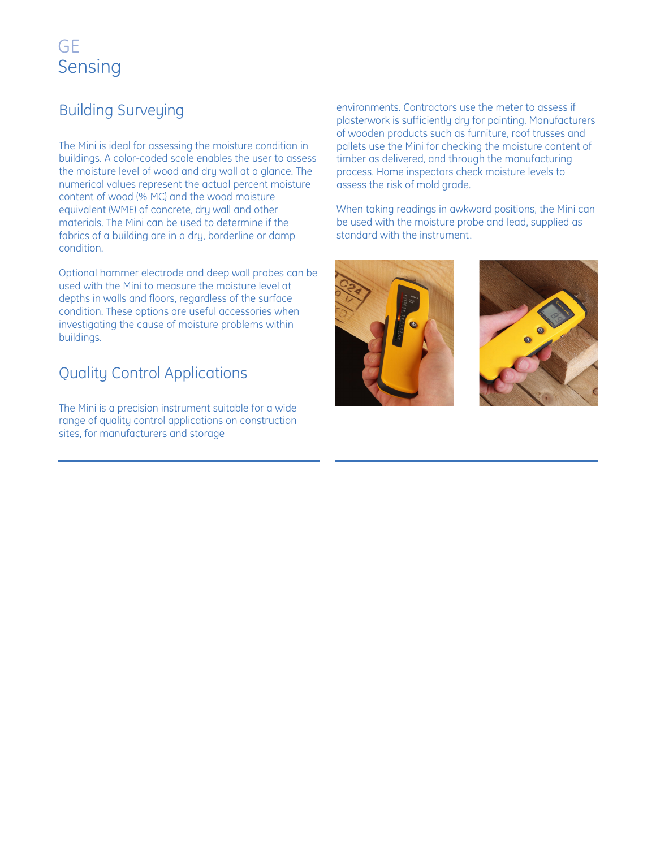# GE Sensing

#### Building Surveying

The Mini is ideal for assessing the moisture condition in buildings. A color-coded scale enables the user to assess the moisture level of wood and dry wall at a glance. The numerical values represent the actual percent moisture content of wood (% MC) and the wood moisture equivalent (WME) of concrete, dry wall and other materials. The Mini can be used to determine if the fabrics of a building are in a dry, borderline or damp condition.

Optional hammer electrode and deep wall probes can be used with the Mini to measure the moisture level at depths in walls and floors, regardless of the surface condition. These options are useful accessories when investigating the cause of moisture problems within buildings.

#### Quality Control Applications

The Mini is a precision instrument suitable for a wide range of quality control applications on construction sites, for manufacturers and storage

environments. Contractors use the meter to assess if plasterwork is sufficiently dry for painting. Manufacturers of wooden products such as furniture, roof trusses and pallets use the Mini for checking the moisture content of timber as delivered, and through the manufacturing process. Home inspectors check moisture levels to assess the risk of mold grade.

When taking readings in awkward positions, the Mini can be used with the moisture probe and lead, supplied as standard with the instrument.



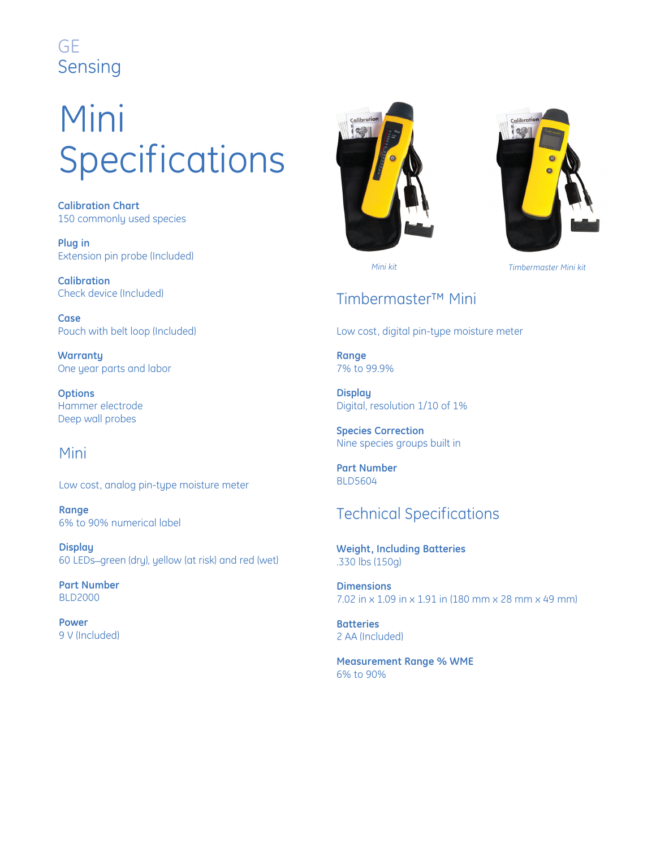#### GE Sensing

# Mini Specifications

**Calibration Chart** 150 commonly used species

**Plug in** Extension pin probe (Included)

**Calibration** Check device (Included)

**Case** Pouch with belt loop (Included)

**Warranty** One year parts and labor

**Options** Hammer electrode Deep wall probes

#### Mini

Low cost, analog pin-type moisture meter

**Range** 6% to 90% numerical label

**Display** 60 LEDs\_green (dry), yellow (at risk) and red (wet)

**Part Number** BLD2000

**Power** 9 V (Included)



Calibra

*Mini kit Timbermaster Mini kit*

#### Timbermaster™ Mini

Low cost, digital pin-type moisture meter

**Range** 7% to 99.9%

**Display** Digital, resolution 1/10 of 1%

**Species Correction** Nine species groups built in

**Part Number** BLD5604

#### Technical Specifications

**Weight, Including Batteries** .330 lbs (150g)

**Dimensions** 7.02 in x 1.09 in x 1.91 in (180 mm x 28 mm x 49 mm)

**Batteries** 2 AA (Included)

**Measurement Range % WME** 6% to 90%